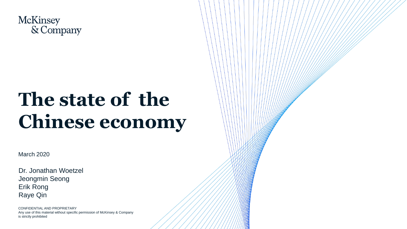

# **The state of the Chinese economy**

March 2020

Dr. Jonathan Woetzel Jeongmin Seong Erik Rong Raye Qin

CONFIDENTIAL AND PROPRIETARY Any use of this material without specific permission of McKinsey & Company is strictly prohibited

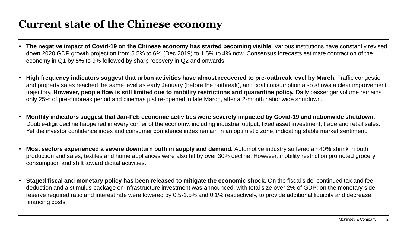# **Current state of the Chinese economy**

- The negative impact of Covid-19 on the Chinese economy has started becoming visible. Various institutions have constantly revised down 2020 GDP growth projection from 5.5% to 6% (Dec 2019) to 1.5% to 4% now. Consensus forecasts estimate contraction of the economy in Q1 by 5% to 9% followed by sharp recovery in Q2 and onwards.
- High frequency indicators suggest that urban activities have almost recovered to pre-outbreak level by March. Traffic congestion and property sales reached the same level as early January (before the outbreak), and coal consumption also shows a clear improvement trajectory. **However, people flow is still limited due to mobility restrictions and quarantine policy.** Daily passenger volume remains only 25% of pre-outbreak period and cinemas just re-opened in late March, after a 2-month nationwide shutdown.
- **Monthly indicators suggest that Jan-Feb economic activities were severely impacted by Covid-19 and nationwide shutdown.**  Double-digit decline happened in every corner of the economy, including industrial output, fixed asset investment, trade and retail sales. Yet the investor confidence index and consumer confidence index remain in an optimistic zone, indicating stable market sentiment.
- **Most sectors experienced a severe downturn both in supply and demand.** Automotive industry suffered a ~40% shrink in both production and sales; textiles and home appliances were also hit by over 30% decline. However, mobility restriction promoted grocery consumption and shift toward digital activities.
- **Staged fiscal and monetary policy has been released to mitigate the economic shock.** On the fiscal side, continued tax and fee deduction and a stimulus package on infrastructure investment was announced, with total size over 2% of GDP; on the monetary side, reserve required ratio and interest rate were lowered by 0.5-1.5% and 0.1% respectively, to provide additional liquidity and decrease financing costs.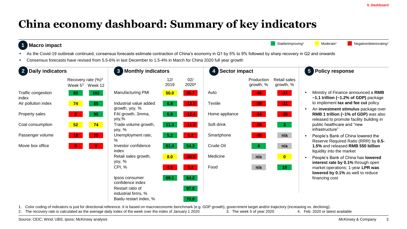# **China economy dashboard: Summary of key indicators**

#### **1 Macro impact**

Stable/improving<sup>1</sup> Moderate<sup>1</sup> Moderate<sup>1</sup> Negative/deteriorating<sup>1</sup>

- As the Covid-19 outbreak continued, consensus forecasts estimate contraction of China's economy in Q1 by 5% to 9% followed by sharp recovery in Q2 and onwards
- Consensus forecasts have revised from 5.5-6% in last December to 1.5-4% in March for China 2020 full year growth

| <b>Daily indicators</b><br>$\overline{2}$ |                                                | 3 <sup>1</sup><br><b>Monthly indicators</b>  |             |              | <b>Sector impact</b><br>$\boldsymbol{4}$ |                         |                           | 5 Policy response                                                                                                                                                        |
|-------------------------------------------|------------------------------------------------|----------------------------------------------|-------------|--------------|------------------------------------------|-------------------------|---------------------------|--------------------------------------------------------------------------------------------------------------------------------------------------------------------------|
|                                           | Recovery rate $(\%)^2$<br>Week $53$<br>Week 12 |                                              | 12/<br>2019 | 02/<br>20204 |                                          | Production<br>growth, % | Retail sales<br>growth, % |                                                                                                                                                                          |
| Traffic congestion<br>index               | 102 <sub>1</sub><br>82                         | Manufacturing PMI                            | 50.0        | 35.7         | Auto                                     | $-46$                   | $-37$                     | Ministry of Finance announced a RMB<br>$~1.1$ trillion ( $~1.2\%$ of GDP) package                                                                                        |
| Air pollution index                       | 74<br>85                                       | Industrial value added                       | 6.9         | $-13.5$      | <b>Textile</b>                           | $-38$                   | $-31$                     | to implement tax and fee cut policy                                                                                                                                      |
| Property sales                            | $\sqrt{2}$<br>95                               | growth, yoy, %<br>FAI growth, 3mma,<br>yoy,% | 6.8         | $-12.4$      | Home appliance                           | $-34$                   | $-30$                     | An investment stimulus package over<br>RMB 1 trillion (~1% of GDP) was also<br>released to promote facility building in<br>public healthcare and "new<br>infrastructure" |
| Coal consumption                          | 74<br>52                                       | Trade volume growth,<br>yoy, %               | 11.3        | $-11.0$      | Soft drink                               | $-29$                   | 3 <sup>°</sup>            |                                                                                                                                                                          |
| Passenger volume                          | 25 <sub>1</sub><br>16                          | Unemployment rate,<br>℅                      | 5.2         | 6.2          | Smartphone                               | $-40$                   | n/a                       | People's Bank of China lowered the<br>Reserve Required Ratio (RRR) by 0.5-<br>1.5% and released RMB 550 billion<br>liquidity into the market                             |
| Movie box office                          | $\mathbf{0}$<br>-0                             | Investor confidence<br>index                 | 61.4        | 54.3         | Crude Oil                                | $\sim$ 4                | n/a                       |                                                                                                                                                                          |
|                                           |                                                | Retail sales growth,<br>yoy, %               | 8.0         | $-20.5$      | Medicine                                 | n/a                     | $\bullet$                 | People's Bank of China has lowered<br>interest rate by 0.1% through open<br>market operations; 1-year LPR was<br>lowered by 0.1% as well to reduce                       |
|                                           |                                                | <b>CPI, %</b>                                | 4.5         | 5.2          | Food                                     | n/a                     | 10 <sub>1</sub>           |                                                                                                                                                                          |
|                                           |                                                | Ipsos consumer<br>confidence index           | 69.1        | 64.2         |                                          |                         |                           | financing cost                                                                                                                                                           |
|                                           |                                                | Restart ratio of<br>industrial firms, %      |             | 97.0         |                                          |                         |                           |                                                                                                                                                                          |
|                                           |                                                | Baidu restart index, %                       |             | 70.0         |                                          |                         |                           |                                                                                                                                                                          |

1. Color coding of indicators is just for directional reference. It is based on macroeconomic benchmark (e.g. GDP growth), government target and/or trajectory (increasing vs. declining).

2. The recovery rate is calculated as the average daily index of the week over the index of January 1 2020 3. The week 5 of year 2020 4. Feb. 2020 or latest available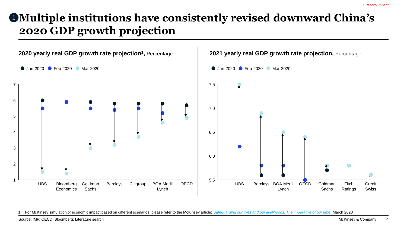# **Multiple institutions have consistently revised downward China's**  1 **2020 GDP growth projection**



1. For McKinsey simulation of economic impact based on different scenarios, please refer to the McKinsey article: *[Safeguarding our lives and our livelihoods: The imperative of our time](https://www.mckinsey.com/business-functions/strategy-and-corporate-finance/our-insights/safeguarding-our-lives-and-our-livelihoods-the-imperative-of-our-time)*, March 2020

Source: IMF; OECD, Bloomberg; Literature search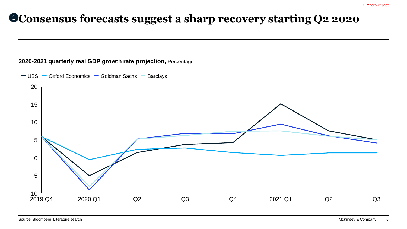# **Consensus forecasts suggest a sharp recovery starting Q2 2020** 1

#### **2020-2021 quarterly real GDP growth rate projection,** Percentage

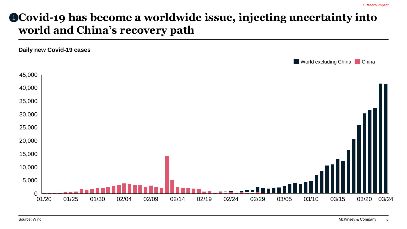# **Covid-19 has become a worldwide issue, injecting uncertainty into**  1**world and China's recovery path**

**Daily new Covid-19 cases**

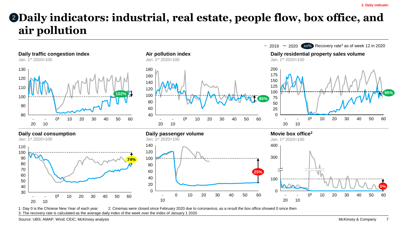# **Daily indicators: industrial, real estate, people flow, box office, and air pollution**



1. Day 0 is the Chinese New Year of each year 2. Cinemas were closed since February 2020 due to coronavirus, as a result the box office showed 0 since then 3. The recovery rate is calculated as the average daily index of the week over the index of January 1 2020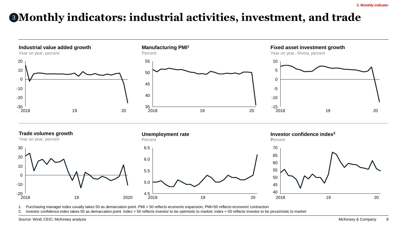# **Monthly indicators: industrial activities, investment, and trade** 3



1. Purchasing manager index usually takes 50 as demarcation point. PMI > 50 reflects economic expansion; PMI<50 reflects economic contraction

2. Investor confidence index takes 50 as demarcation point. Index > 50 reflects investor to be optimistic to market; index < 50 reflects investor to be pessimistic to market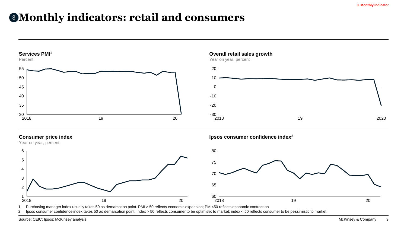### **Monthly indicators: retail and consumers**



2. Ipsos consumer confidence index takes 50 as demarcation point. Index > 50 reflects consumer to be optimistic to market; index < 50 reflects consumer to be pessimistic to market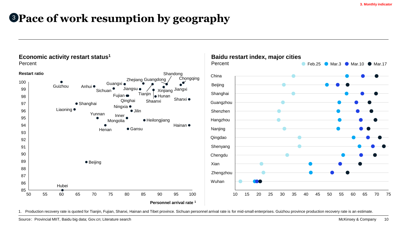# **Pace of work resumption by geography** 3



1. Production recovery rate is quoted for Tianjin, Fujian, Shanxi, Hainan and Tibet province. Sichuan personnel arrival rate is for mid-small enterprises. Guizhou province production recovery rate is an estimate.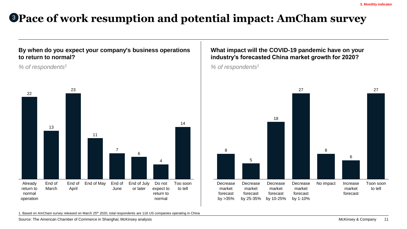# <sup>3</sup> **Pace of work resumption and potential impact: AmCham survey**

### **By when do you expect your company's business operations to return to normal?**

*% of respondents<sup>1</sup>*



### **What impact will the COVID-19 pandemic have on your industry's forecasted China market growth for 2020?**

*% of respondents<sup>1</sup>*



1. Based on AmCham survey released on March 25<sup>th</sup> 2020, total respondents are 118 US companies operating in China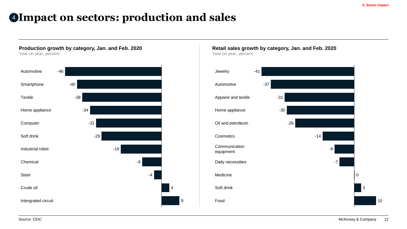### **Impact on sectors: production and sales** 4



**Retail sales growth by category, Jan. and Feb. 2020** Year on year, percent

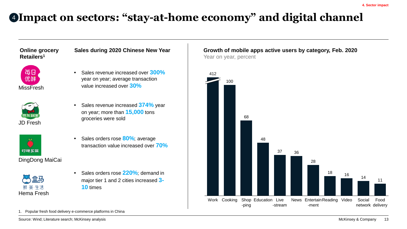# **Impact on sectors: "stay-at-home economy" and digital channel** 4

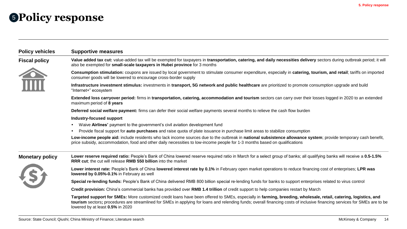## <sup>5</sup> **Policy response**

| <b>Policy vehicles</b> | <b>Supportive measures</b>                                                                                                                                                                                                                                                                                                                                                        |  |  |  |  |  |  |
|------------------------|-----------------------------------------------------------------------------------------------------------------------------------------------------------------------------------------------------------------------------------------------------------------------------------------------------------------------------------------------------------------------------------|--|--|--|--|--|--|
| <b>Fiscal policy</b>   | Value added tax cut: value-added tax will be exempted for taxpayers in transportation, catering, and daily necessities delivery sectors during outbreak period; it will<br>also be exempted for small-scale taxpayers in Hubei province for 3 months                                                                                                                              |  |  |  |  |  |  |
| TITT                   | Consumption stimulation: coupons are issued by local government to stimulate consumer expenditure, especially in catering, tourism, and retail; tariffs on imported<br>consumer goods will be lowered to encourage cross-border supply                                                                                                                                            |  |  |  |  |  |  |
|                        | Infrastructure investment stimulus: investments in transport, 5G network and public healthcare are prioritized to promote consumption upgrade and build<br>"Internet+" ecosystem                                                                                                                                                                                                  |  |  |  |  |  |  |
|                        | Extended loss carryover period: firms in transportation, catering, accommodation and tourism sectors can carry over their losses logged in 2020 to an extended<br>maximum period of 8 years                                                                                                                                                                                       |  |  |  |  |  |  |
|                        | Deferred social welfare payment: firms can defer their social welfare payments several months to relieve the cash flow burden                                                                                                                                                                                                                                                     |  |  |  |  |  |  |
|                        | <b>Industry-focused support</b>                                                                                                                                                                                                                                                                                                                                                   |  |  |  |  |  |  |
|                        | Waive Airlines' payment to the government's civil aviation development fund                                                                                                                                                                                                                                                                                                       |  |  |  |  |  |  |
|                        | Provide fiscal support for auto purchases and raise quota of plate issuance in purchase limit areas to stabilize consumption                                                                                                                                                                                                                                                      |  |  |  |  |  |  |
|                        | Low-income people aid: include residents who lack income sources due to the outbreak in national subsistence allowance system; provide temporary cash benefit,<br>price subsidy, accommodation, food and other daily necessities to low-income people for 1-3 months based on qualifications                                                                                      |  |  |  |  |  |  |
| <b>Monetary policy</b> | Lower reserve required ratio: People's Bank of China lowered reserve required ratio in March for a select group of banks; all qualifying banks will receive a 0.5-1.5%<br>RRR cut; the cut will release RMB 550 billion into the market                                                                                                                                           |  |  |  |  |  |  |
|                        | Lower interest rate: People's Bank of China lowered interest rate by 0.1% in February open market operations to reduce financing cost of enterprises; LPR was<br>lowered by 0.05%-0.1% in February as well                                                                                                                                                                        |  |  |  |  |  |  |
|                        | Special re-lending funds: People's Bank of China delivered RMB 800 billion special re-lending funds for banks to support enterprises related to virus control                                                                                                                                                                                                                     |  |  |  |  |  |  |
|                        | Credit provision: China's commercial banks has provided over RMB 1.4 trillion of credit support to help companies restart by March                                                                                                                                                                                                                                                |  |  |  |  |  |  |
|                        | Targeted support for SMEs: More customized credit loans have been offered to SMEs, especially in farming, breeding, wholesale, retail, catering, logistics, and<br>tourism sectors; procedures are streamlined for SMEs in applying for loans and relending funds; overall financing costs of inclusive financing services for SMEs are to be<br>lowered by at least 0.5% in 2020 |  |  |  |  |  |  |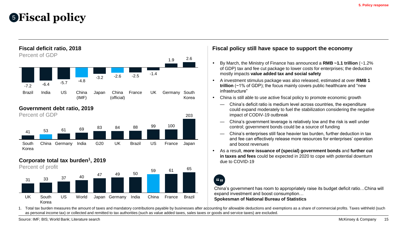# **Fiscal policy** 5





#### **Fiscal policy still have space to support the economy**

- By March, the Ministry of Finance has announced a **RMB ~1.1 trillion** (~1.2% of GDP) tax and fee cut package to lower costs for enterprises; the deduction mostly impacts **value added tax and social safety**
- A investment stimulus package was also released, estimated at over **RMB 1 trillion** (~1% of GDP); the focus mainly covers public healthcare and "new infrastructure"
- China is still able to use active fiscal policy to promote economic growth
	- China's deficit ratio is medium level across countries, the expenditure could expand moderately to fuel the stabilization considering the negative impact of CODIV-19 outbreak
	- China's government leverage is relatively low and the risk is well under control; government bonds could be a source of funding
	- China's enterprises still face heavier tax burden, further deduction in tax and fee can effectively release more resources for enterprises' operation and boost revenues
- As a result, **more issuance of (special) government bonds** and **further cut in taxes and fees** could be expected in 2020 to cope with potential downturn due to COVID-19

 $65 - 99$ 

China's government has room to appropriately raise its budget deficit ratio…China will expand investment and boost consumption…

**Spokesman of National Bureau of Statistics**

1. Total tax burden measures the amount of taxes and mandatory contributions payable by businesses after accounting for allowable deductions and exemptions as a share of commercial profits. Taxes withheld (such as personal income tax) or collected and remitted to tax authorities (such as value added taxes, sales taxes or goods and service taxes) are excluded.